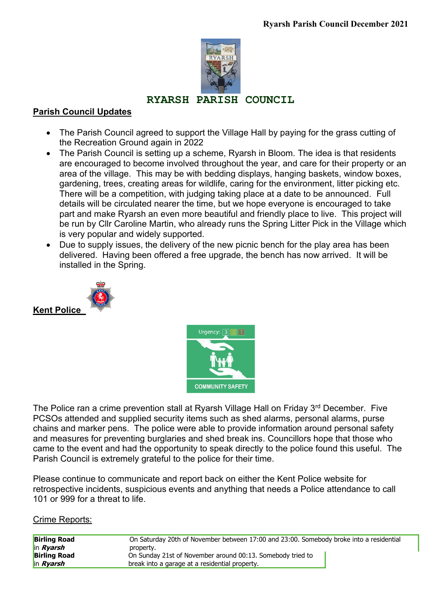

# **RYARSH PARISH COUNCIL**

### **Parish Council Updates**

- The Parish Council agreed to support the Village Hall by paying for the grass cutting of the Recreation Ground again in 2022
- The Parish Council is setting up a scheme, Ryarsh in Bloom. The idea is that residents are encouraged to become involved throughout the year, and care for their property or an area of the village. This may be with bedding displays, hanging baskets, window boxes, gardening, trees, creating areas for wildlife, caring for the environment, litter picking etc. There will be a competition, with judging taking place at a date to be announced. Full details will be circulated nearer the time, but we hope everyone is encouraged to take part and make Ryarsh an even more beautiful and friendly place to live. This project will be run by Cllr Caroline Martin, who already runs the Spring Litter Pick in the Village which is very popular and widely supported.
- Due to supply issues, the delivery of the new picnic bench for the play area has been delivered. Having been offered a free upgrade, the bench has now arrived. It will be installed in the Spring.





The Police ran a crime prevention stall at Ryarsh Village Hall on Friday 3<sup>rd</sup> December. Five PCSOs attended and supplied security items such as shed alarms, personal alarms, purse chains and marker pens. The police were able to provide information around personal safety and measures for preventing burglaries and shed break ins. Councillors hope that those who came to the event and had the opportunity to speak directly to the police found this useful. The Parish Council is extremely grateful to the police for their time.

Please continue to communicate and report back on either the Kent Police website for retrospective incidents, suspicious events and anything that needs a Police attendance to call 101 or 999 for a threat to life.

#### Crime Reports:

| <b>Birling Road</b> | On Saturday 20th of November between 17:00 and 23:00. Somebody broke into a residential |
|---------------------|-----------------------------------------------------------------------------------------|
| in <i>Ryarsh</i>    | property.                                                                               |
| <b>Birling Road</b> | On Sunday 21st of November around 00:13. Somebody tried to                              |
| in <i>Ryarsh</i>    | break into a garage at a residential property.                                          |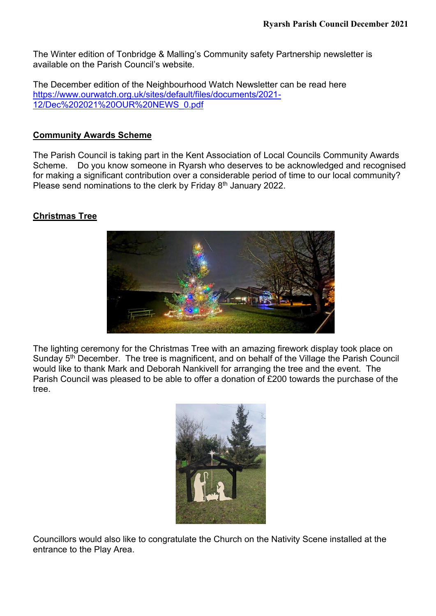The Winter edition of Tonbridge & Malling's Community safety Partnership newsletter is available on the Parish Council's website.

The December edition of the Neighbourhood Watch Newsletter can be read here [https://www.ourwatch.org.uk/sites/default/files/documents/2021-](https://www.ourwatch.org.uk/sites/default/files/documents/2021-12/Dec%202021%20OUR%20NEWS_0.pdf) [12/Dec%202021%20OUR%20NEWS\\_0.pdf](https://www.ourwatch.org.uk/sites/default/files/documents/2021-12/Dec%202021%20OUR%20NEWS_0.pdf)

### **Community Awards Scheme**

The Parish Council is taking part in the Kent Association of Local Councils Community Awards Scheme. Do you know someone in Ryarsh who deserves to be acknowledged and recognised for making a significant contribution over a considerable period of time to our local community? Please send nominations to the clerk by Friday 8<sup>th</sup> January 2022.

# **Christmas Tree**



The lighting ceremony for the Christmas Tree with an amazing firework display took place on Sunday 5<sup>th</sup> December. The tree is magnificent, and on behalf of the Village the Parish Council would like to thank Mark and Deborah Nankivell for arranging the tree and the event. The Parish Council was pleased to be able to offer a donation of £200 towards the purchase of the tree.



Councillors would also like to congratulate the Church on the Nativity Scene installed at the entrance to the Play Area.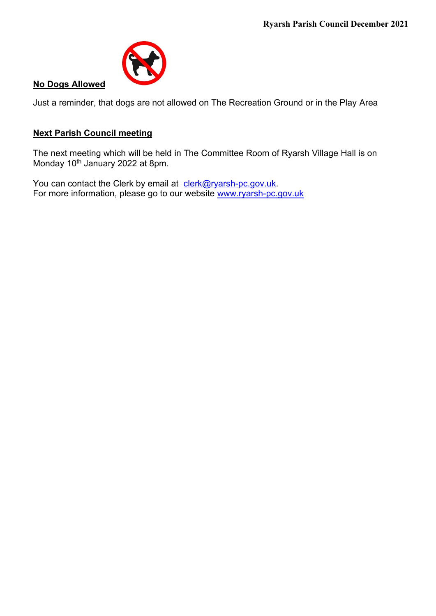

#### **No Dogs Allowed**

Just a reminder, that dogs are not allowed on The Recreation Ground or in the Play Area

# **Next Parish Council meeting**

The next meeting which will be held in The Committee Room of Ryarsh Village Hall is on Monday 10<sup>th</sup> January 2022 at 8pm.

You can contact the Clerk by email at [clerk@ryarsh-pc.gov.uk.](mailto:clerk@ryarsh-pc.gov.uk) For more information, please go to our website [www.ryarsh-pc.gov.uk](http://www.ryarsh-pc.gov.uk/)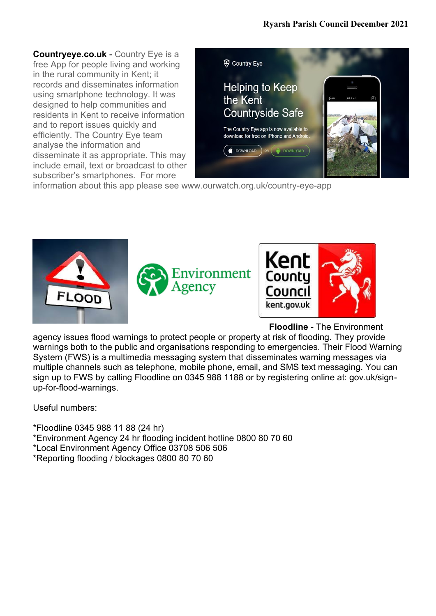**Countryeye.co.uk** - Country Eye is a free App for people living and working in the rural community in Kent; it records and disseminates information using smartphone technology. It was designed to help communities and residents in Kent to receive information and to report issues quickly and efficiently. The Country Eye team analyse the information and disseminate it as appropriate. This may include email, text or broadcast to other subscriber's smartphones. For more



information about this app please see www.ourwatch.org.uk/country-eye-app





**Floodline** - The Environment

agency issues flood warnings to protect people or property at risk of flooding. They provide warnings both to the public and organisations responding to emergencies. Their Flood Warning System (FWS) is a multimedia messaging system that disseminates warning messages via multiple channels such as telephone, mobile phone, email, and SMS text messaging. You can sign up to FWS by calling Floodline on 0345 988 1188 or by registering online at: gov.uk/signup-for-flood-warnings.

Useful numbers:

- \*Floodline 0345 988 11 88 (24 hr)
- \*Environment Agency 24 hr flooding incident hotline 0800 80 70 60
- \*Local Environment Agency Office 03708 506 506
- \*Reporting flooding / blockages 0800 80 70 60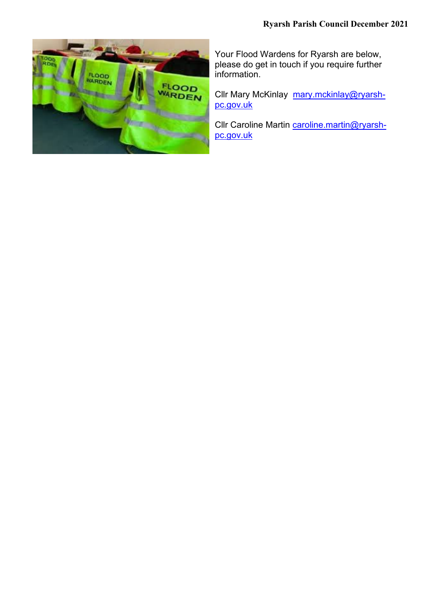

Your Flood Wardens for Ryarsh are below, please do get in touch if you require further information.

Cllr Mary McKinlay [mary.mckinlay@ryarsh](mailto:mary.mckinlay@ryarsh-pc.gov.uk)[pc.gov.uk](mailto:mary.mckinlay@ryarsh-pc.gov.uk)

Cllr Caroline Martin [caroline.martin@ryarsh](mailto:caroline.martin@ryarsh-pc.gov.uk)[pc.gov.uk](mailto:caroline.martin@ryarsh-pc.gov.uk)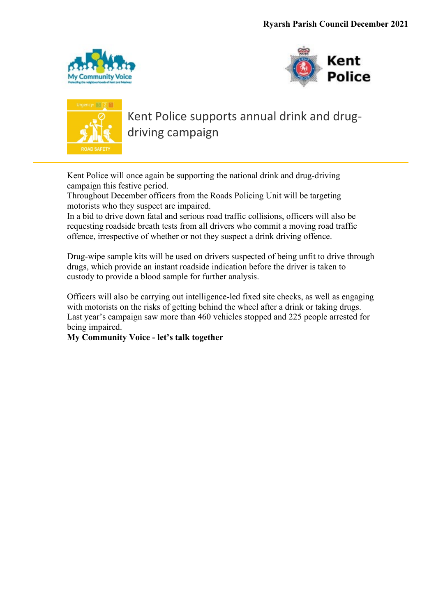





Kent Police supports annual drink and drugdriving campaign

Kent Police will once again be supporting the national drink and drug-driving campaign this festive period.

Throughout December officers from the Roads Policing Unit will be targeting motorists who they suspect are impaired.

In a bid to drive down fatal and serious road traffic collisions, officers will also be requesting roadside breath tests from all drivers who commit a moving road traffic offence, irrespective of whether or not they suspect a drink driving offence.

Drug-wipe sample kits will be used on drivers suspected of being unfit to drive through drugs, which provide an instant roadside indication before the driver is taken to custody to provide a blood sample for further analysis.

Officers will also be carrying out intelligence-led fixed site checks, as well as engaging with motorists on the risks of getting behind the wheel after a drink or taking drugs. Last year's campaign saw more than 460 vehicles stopped and 225 people arrested for being impaired.

**My Community Voice - let's talk together**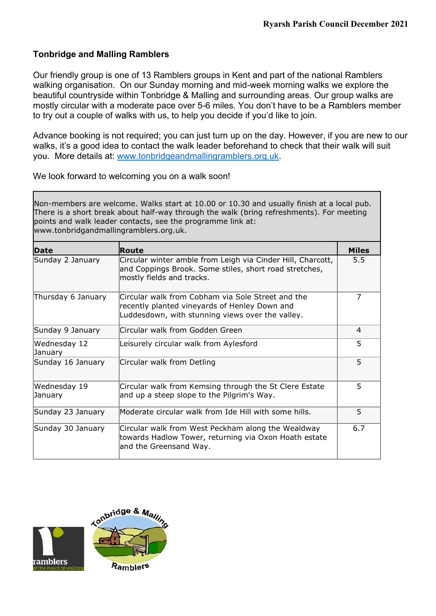### **Tonbridge and Malling Ramblers**

Our friendly group is one of 13 Ramblers groups in Kent and part of the national Ramblers walking organisation. On our Sunday morning and mid-week morning walks we explore the beautiful countryside within Tonbridge & Malling and surrounding areas. Our group walks are mostly circular with a moderate pace over 5-6 miles. You don't have to be a Ramblers member to try out a couple of walks with us, to help you decide if you'd like to join.

Advance booking is not required; you can just turn up on the day. However, if you are new to our walks, it's a good idea to contact the walk leader beforehand to check that their walk will suit you. More details at: [www.tonbridgeandmallingramblers.org.uk.](http://www.tonbridgeandmallingramblers.org.uk/)

We look forward to welcoming you on a walk soon!

Non-members are welcome. Walks start at 10.00 or 10.30 and usually finish at a local pub. There is a short break about half-way through the walk (bring refreshments). For meeting points and walk leader contacts, see the programme link at: www.tonbridgandmallingramblers.org.uk.

| <b>Date</b>             | Route                                                                                                                                                  | Miles |  |
|-------------------------|--------------------------------------------------------------------------------------------------------------------------------------------------------|-------|--|
| Sunday 2 January        | Circular winter amble from Leigh via Cinder Hill, Charcott,<br>and Coppings Brook. Some stiles, short road stretches,<br>mostly fields and tracks.     | 5.5   |  |
| Thursday 6 January      | Circular walk from Cobham via Sole Street and the<br>recently planted vineyards of Henley Down and<br>Luddesdown, with stunning views over the valley. | 7     |  |
| Sunday 9 January        | Circular walk from Godden Green                                                                                                                        | 4     |  |
| Wednesday 12<br>January | Leisurely circular walk from Aylesford                                                                                                                 | 5     |  |
| Sunday 16 January       | Circular walk from Detling                                                                                                                             | 5     |  |
| Wednesday 19<br>January | Circular walk from Kemsing through the St Clere Estate<br>and up a steep slope to the Pilgrim's Way.                                                   | 5     |  |
| Sunday 23 January       | Moderate circular walk from Ide Hill with some hills.                                                                                                  | 5     |  |
| Sunday 30 January       | Circular walk from West Peckham along the Wealdway<br>towards Hadlow Tower, returning via Oxon Hoath estate<br>and the Greensand Way.                  | 6.7   |  |

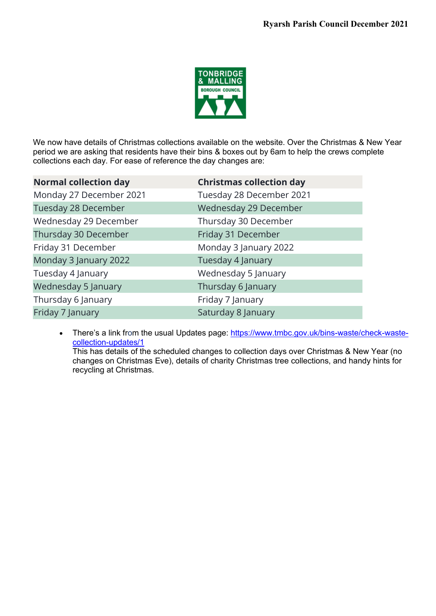

We now have details of Christmas collections available on the website. Over the Christmas & New Year period we are asking that residents have their bins & boxes out by 6am to help the crews complete collections each day. For ease of reference the day changes are:

| <b>Normal collection day</b> | <b>Christmas collection day</b> |
|------------------------------|---------------------------------|
| Monday 27 December 2021      | Tuesday 28 December 2021        |
| Tuesday 28 December          | Wednesday 29 December           |
| Wednesday 29 December        | Thursday 30 December            |
| Thursday 30 December         | Friday 31 December              |
| Friday 31 December           | Monday 3 January 2022           |
| Monday 3 January 2022        | Tuesday 4 January               |
| Tuesday 4 January            | Wednesday 5 January             |
| <b>Wednesday 5 January</b>   | Thursday 6 January              |
| Thursday 6 January           | Friday 7 January                |
| Friday 7 January             | Saturday 8 January              |

• There's a link from the usual Updates page: [https://www.tmbc.gov.uk/bins-waste/check-waste](https://www.tmbc.gov.uk/bins-waste/check-waste-collection-updates/1)[collection-updates/1](https://www.tmbc.gov.uk/bins-waste/check-waste-collection-updates/1)

This has details of the scheduled changes to collection days over Christmas & New Year (no changes on Christmas Eve), details of charity Christmas tree collections, and handy hints for recycling at Christmas.